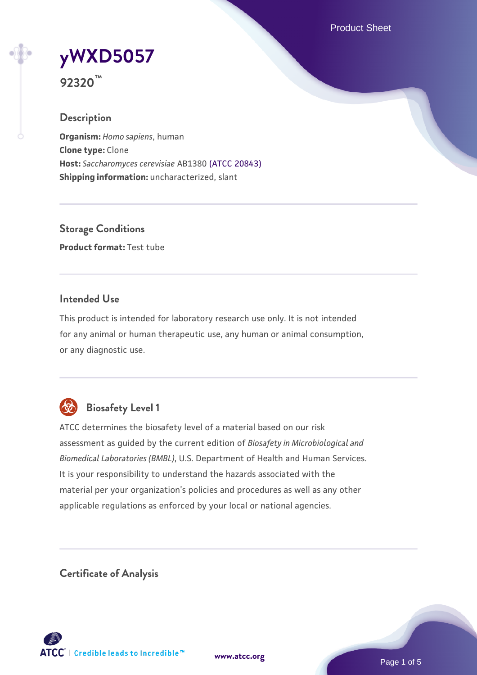Product Sheet

# **[yWXD5057](https://www.atcc.org/products/92320)**

**92320™**

# **Description**

**Organism:** *Homo sapiens*, human **Clone type:** Clone **Host:** *Saccharomyces cerevisiae* AB1380 [\(ATCC 20843\)](https://www.atcc.org/products/20843) **Shipping information:** uncharacterized, slant

**Storage Conditions Product format:** Test tube

# **Intended Use**

This product is intended for laboratory research use only. It is not intended for any animal or human therapeutic use, any human or animal consumption, or any diagnostic use.



# **Biosafety Level 1**

ATCC determines the biosafety level of a material based on our risk assessment as guided by the current edition of *Biosafety in Microbiological and Biomedical Laboratories (BMBL)*, U.S. Department of Health and Human Services. It is your responsibility to understand the hazards associated with the material per your organization's policies and procedures as well as any other applicable regulations as enforced by your local or national agencies.

**Certificate of Analysis**

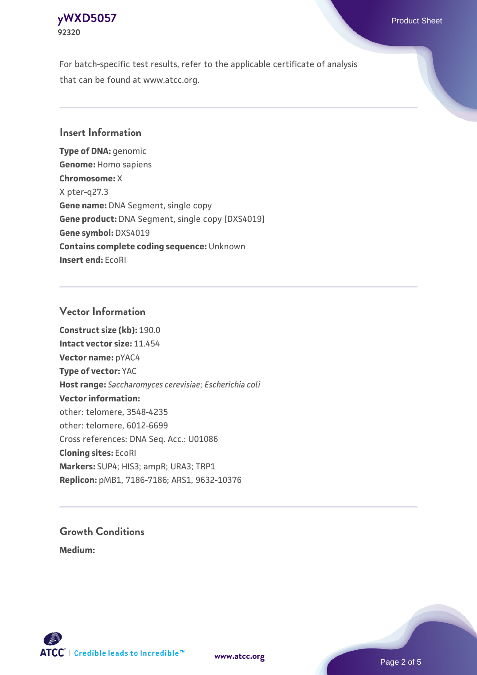#### **[yWXD5057](https://www.atcc.org/products/92320)** Product Sheet **92320**

For batch-specific test results, refer to the applicable certificate of analysis that can be found at www.atcc.org.

# **Insert Information**

**Type of DNA:** genomic **Genome:** Homo sapiens **Chromosome:** X X pter-q27.3 **Gene name:** DNA Segment, single copy **Gene product:** DNA Segment, single copy [DXS4019] **Gene symbol:** DXS4019 **Contains complete coding sequence:** Unknown **Insert end:** EcoRI

# **Vector Information**

**Construct size (kb):** 190.0 **Intact vector size:** 11.454 **Vector name:** pYAC4 **Type of vector:** YAC **Host range:** *Saccharomyces cerevisiae*; *Escherichia coli* **Vector information:** other: telomere, 3548-4235 other: telomere, 6012-6699 Cross references: DNA Seq. Acc.: U01086 **Cloning sites:** EcoRI **Markers:** SUP4; HIS3; ampR; URA3; TRP1 **Replicon:** pMB1, 7186-7186; ARS1, 9632-10376

# **Growth Conditions**

**Medium:** 



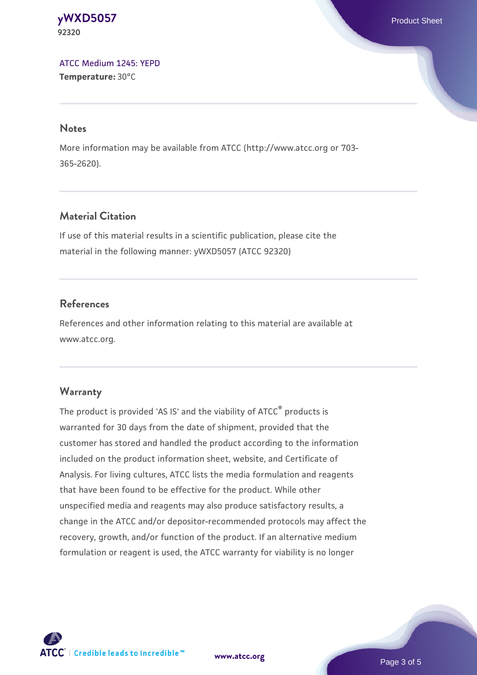**[yWXD5057](https://www.atcc.org/products/92320)** Product Sheet **92320**

[ATCC Medium 1245: YEPD](https://www.atcc.org/-/media/product-assets/documents/microbial-media-formulations/1/2/4/5/atcc-medium-1245.pdf?rev=705ca55d1b6f490a808a965d5c072196) **Temperature:** 30°C

#### **Notes**

More information may be available from ATCC (http://www.atcc.org or 703- 365-2620).

# **Material Citation**

If use of this material results in a scientific publication, please cite the material in the following manner: yWXD5057 (ATCC 92320)

# **References**

References and other information relating to this material are available at www.atcc.org.

#### **Warranty**

The product is provided 'AS IS' and the viability of ATCC® products is warranted for 30 days from the date of shipment, provided that the customer has stored and handled the product according to the information included on the product information sheet, website, and Certificate of Analysis. For living cultures, ATCC lists the media formulation and reagents that have been found to be effective for the product. While other unspecified media and reagents may also produce satisfactory results, a change in the ATCC and/or depositor-recommended protocols may affect the recovery, growth, and/or function of the product. If an alternative medium formulation or reagent is used, the ATCC warranty for viability is no longer



**[www.atcc.org](http://www.atcc.org)**

Page 3 of 5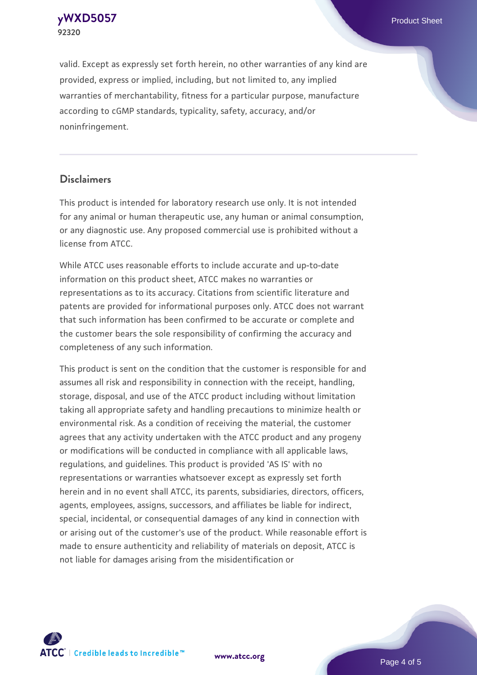**[yWXD5057](https://www.atcc.org/products/92320)** Product Sheet **92320**

valid. Except as expressly set forth herein, no other warranties of any kind are provided, express or implied, including, but not limited to, any implied warranties of merchantability, fitness for a particular purpose, manufacture according to cGMP standards, typicality, safety, accuracy, and/or noninfringement.

#### **Disclaimers**

This product is intended for laboratory research use only. It is not intended for any animal or human therapeutic use, any human or animal consumption, or any diagnostic use. Any proposed commercial use is prohibited without a license from ATCC.

While ATCC uses reasonable efforts to include accurate and up-to-date information on this product sheet, ATCC makes no warranties or representations as to its accuracy. Citations from scientific literature and patents are provided for informational purposes only. ATCC does not warrant that such information has been confirmed to be accurate or complete and the customer bears the sole responsibility of confirming the accuracy and completeness of any such information.

This product is sent on the condition that the customer is responsible for and assumes all risk and responsibility in connection with the receipt, handling, storage, disposal, and use of the ATCC product including without limitation taking all appropriate safety and handling precautions to minimize health or environmental risk. As a condition of receiving the material, the customer agrees that any activity undertaken with the ATCC product and any progeny or modifications will be conducted in compliance with all applicable laws, regulations, and guidelines. This product is provided 'AS IS' with no representations or warranties whatsoever except as expressly set forth herein and in no event shall ATCC, its parents, subsidiaries, directors, officers, agents, employees, assigns, successors, and affiliates be liable for indirect, special, incidental, or consequential damages of any kind in connection with or arising out of the customer's use of the product. While reasonable effort is made to ensure authenticity and reliability of materials on deposit, ATCC is not liable for damages arising from the misidentification or



**[www.atcc.org](http://www.atcc.org)**

Page 4 of 5